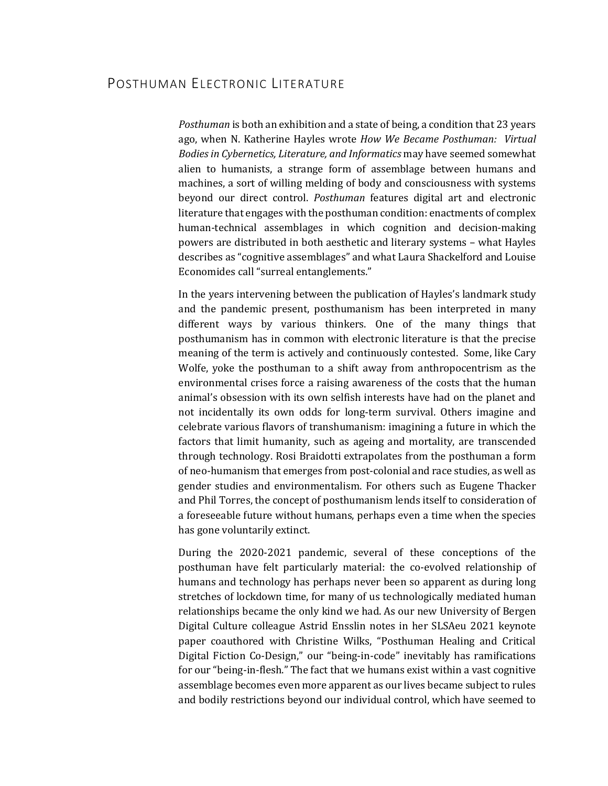## POSTHUMAN ELECTRONIC LITERATURE

*Posthuman* is both an exhibition and a state of being, a condition that 23 years ago, when N. Katherine Hayles wrote *How We Became Posthuman: Virtual Bodies in Cybernetics, Literature, and Informatics may have seemed somewhat* alien to humanists, a strange form of assemblage between humans and machines, a sort of willing melding of body and consciousness with systems beyond our direct control. *Posthuman* features digital art and electronic literature that engages with the posthuman condition: enactments of complex human-technical assemblages in which cognition and decision-making powers are distributed in both aesthetic and literary systems - what Hayles describes as "cognitive assemblages" and what Laura Shackelford and Louise Economides call "surreal entanglements."

In the years intervening between the publication of Hayles's landmark study and the pandemic present, posthumanism has been interpreted in many different ways by various thinkers. One of the many things that posthumanism has in common with electronic literature is that the precise meaning of the term is actively and continuously contested. Some, like Cary Wolfe, yoke the posthuman to a shift away from anthropocentrism as the environmental crises force a raising awareness of the costs that the human animal's obsession with its own selfish interests have had on the planet and not incidentally its own odds for long-term survival. Others imagine and celebrate various flavors of transhumanism: imagining a future in which the factors that limit humanity, such as ageing and mortality, are transcended through technology. Rosi Braidotti extrapolates from the posthuman a form of neo-humanism that emerges from post-colonial and race studies, as well as gender studies and environmentalism. For others such as Eugene Thacker and Phil Torres, the concept of posthumanism lends itself to consideration of a foreseeable future without humans, perhaps even a time when the species has gone voluntarily extinct.

During the 2020-2021 pandemic, several of these conceptions of the posthuman have felt particularly material: the co-evolved relationship of humans and technology has perhaps never been so apparent as during long stretches of lockdown time, for many of us technologically mediated human relationships became the only kind we had. As our new University of Bergen Digital Culture colleague Astrid Ensslin notes in her SLSAeu 2021 keynote paper coauthored with Christine Wilks, "Posthuman Healing and Critical Digital Fiction Co-Design," our "being-in-code" inevitably has ramifications for our "being-in-flesh." The fact that we humans exist within a vast cognitive assemblage becomes even more apparent as our lives became subject to rules and bodily restrictions beyond our individual control, which have seemed to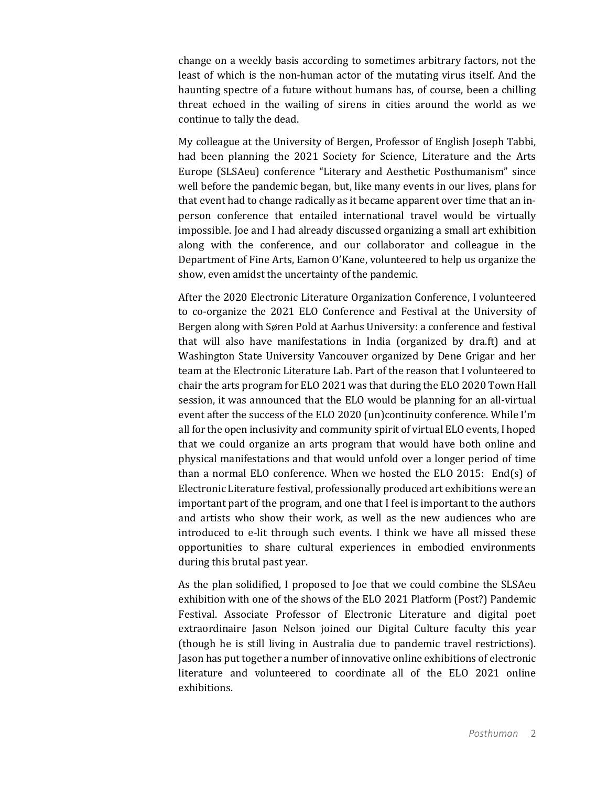change on a weekly basis according to sometimes arbitrary factors, not the least of which is the non-human actor of the mutating virus itself. And the haunting spectre of a future without humans has, of course, been a chilling threat echoed in the wailing of sirens in cities around the world as we continue to tally the dead.

My colleague at the University of Bergen, Professor of English Joseph Tabbi, had been planning the 2021 Society for Science, Literature and the Arts Europe (SLSAeu) conference "Literary and Aesthetic Posthumanism" since well before the pandemic began, but, like many events in our lives, plans for that event had to change radically as it became apparent over time that an inperson conference that entailed international travel would be virtually impossible. Joe and I had already discussed organizing a small art exhibition along with the conference, and our collaborator and colleague in the Department of Fine Arts, Eamon O'Kane, volunteered to help us organize the show, even amidst the uncertainty of the pandemic.

After the 2020 Electronic Literature Organization Conference, I volunteered to co-organize the 2021 ELO Conference and Festival at the University of Bergen along with Søren Pold at Aarhus University: a conference and festival that will also have manifestations in India (organized by dra.ft) and at Washington State University Vancouver organized by Dene Grigar and her team at the Electronic Literature Lab. Part of the reason that I volunteered to chair the arts program for ELO 2021 was that during the ELO 2020 Town Hall session, it was announced that the ELO would be planning for an all-virtual event after the success of the ELO 2020 (un)continuity conference. While I'm all for the open inclusivity and community spirit of virtual ELO events, I hoped that we could organize an arts program that would have both online and physical manifestations and that would unfold over a longer period of time than a normal ELO conference. When we hosted the ELO 2015: End(s) of Electronic Literature festival, professionally produced art exhibitions were an important part of the program, and one that I feel is important to the authors and artists who show their work, as well as the new audiences who are introduced to e-lit through such events. I think we have all missed these opportunities to share cultural experiences in embodied environments during this brutal past year.

As the plan solidified, I proposed to Joe that we could combine the SLSAeu exhibition with one of the shows of the ELO 2021 Platform (Post?) Pandemic Festival. Associate Professor of Electronic Literature and digital poet extraordinaire Jason Nelson joined our Digital Culture faculty this year (though he is still living in Australia due to pandemic travel restrictions). Jason has put together a number of innovative online exhibitions of electronic literature and volunteered to coordinate all of the ELO 2021 online exhibitions.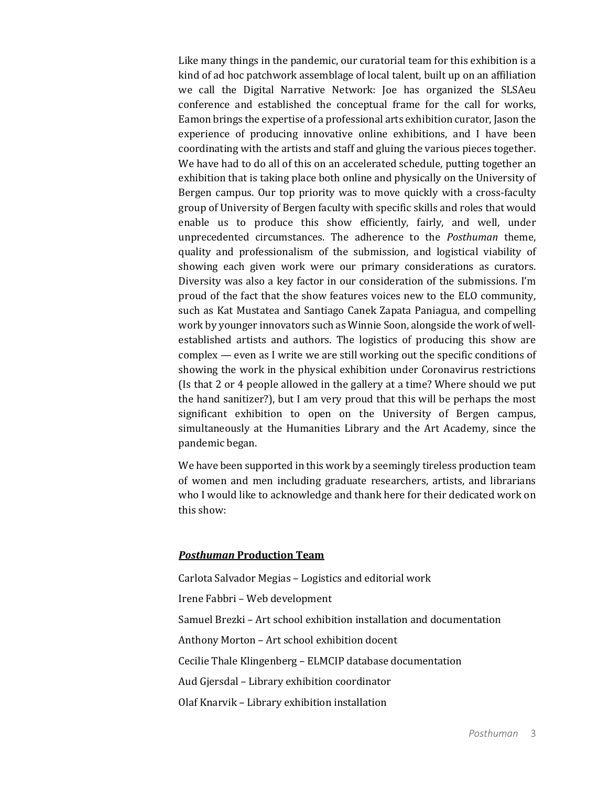Like many things in the pandemic, our curatorial team for this exhibition is a kind of ad hoc patchwork assemblage of local talent, built up on an affiliation we call the Digital Narrative Network: Joe has organized the SLSAeu conference and established the conceptual frame for the call for works, Eamon brings the expertise of a professional arts exhibition curator, Jason the experience of producing innovative online exhibitions, and I have been coordinating with the artists and staff and gluing the various pieces together. We have had to do all of this on an accelerated schedule, putting together an exhibition that is taking place both online and physically on the University of Bergen campus. Our top priority was to move quickly with a cross-faculty group of University of Bergen faculty with specific skills and roles that would enable us to produce this show efficiently, fairly, and well, under unprecedented circumstances. The adherence to the *Posthuman* theme, quality and professionalism of the submission, and logistical viability of showing each given work were our primary considerations as curators. Diversity was also a key factor in our consideration of the submissions. I'm proud of the fact that the show features voices new to the ELO community, such as Kat Mustatea and Santiago Canek Zapata Paniagua, and compelling work by younger innovators such as Winnie Soon, alongside the work of wellestablished artists and authors. The logistics of producing this show are complex  $-$  even as I write we are still working out the specific conditions of showing the work in the physical exhibition under Coronavirus restrictions (Is that 2 or 4 people allowed in the gallery at a time? Where should we put the hand sanitizer?), but I am very proud that this will be perhaps the most significant exhibition to open on the University of Bergen campus, simultaneously at the Humanities Library and the Art Academy, since the pandemic began.

We have been supported in this work by a seemingly tireless production team of women and men including graduate researchers, artists, and librarians who I would like to acknowledge and thank here for their dedicated work on this show:

## *Posthuman* **Production Team**

Carlota Salvador Megias - Logistics and editorial work

Irene Fabbri - Web development

Samuel Brezki - Art school exhibition installation and documentation

Anthony Morton - Art school exhibition docent

Cecilie Thale Klingenberg - ELMCIP database documentation

Aud Gjersdal - Library exhibition coordinator

Olaf Knarvik - Library exhibition installation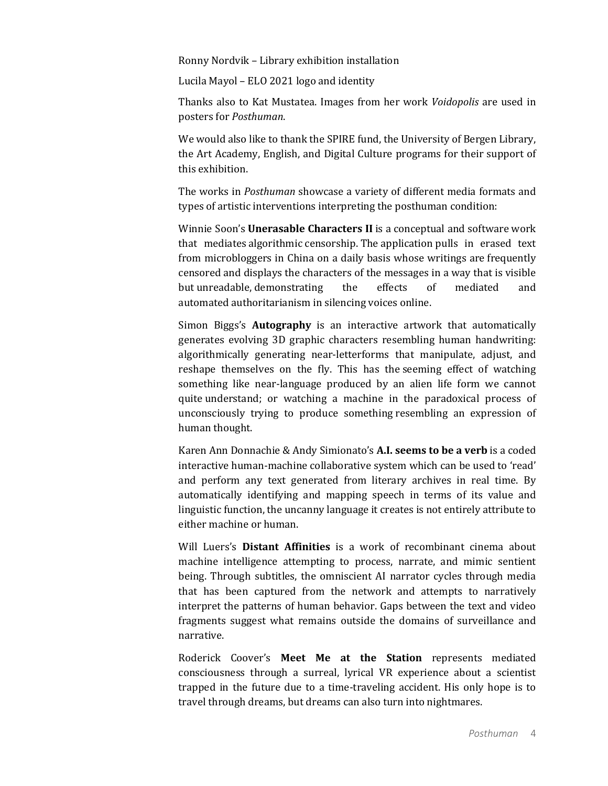Ronny Nordvik - Library exhibition installation

Lucila Mayol – ELO 2021 logo and identity

Thanks also to Kat Mustatea. Images from her work *Voidopolis* are used in posters for *Posthuman*.

We would also like to thank the SPIRE fund, the University of Bergen Library, the Art Academy, English, and Digital Culture programs for their support of this exhibition.

The works in *Posthuman* showcase a variety of different media formats and types of artistic interventions interpreting the posthuman condition:

Winnie Soon's **Unerasable Characters II** is a conceptual and software work that mediates algorithmic censorship. The application pulls in erased text from microbloggers in China on a daily basis whose writings are frequently censored and displays the characters of the messages in a way that is visible but unreadable, demonstrating the effects of mediated and automated authoritarianism in silencing voices online.

Simon Biggs's **Autography** is an interactive artwork that automatically generates evolving 3D graphic characters resembling human handwriting: algorithmically generating near-letterforms that manipulate, adjust, and reshape themselves on the fly. This has the seeming effect of watching something like near-language produced by an alien life form we cannot quite understand; or watching a machine in the paradoxical process of unconsciously trying to produce something resembling an expression of human thought.

Karen Ann Donnachie & Andy Simionato's **A.I. seems to be a verb** is a coded interactive human-machine collaborative system which can be used to 'read' and perform any text generated from literary archives in real time. By automatically identifying and mapping speech in terms of its value and linguistic function, the uncanny language it creates is not entirely attribute to either machine or human.

Will Luers's **Distant Affinities** is a work of recombinant cinema about machine intelligence attempting to process, narrate, and mimic sentient being. Through subtitles, the omniscient AI narrator cycles through media that has been captured from the network and attempts to narratively interpret the patterns of human behavior. Gaps between the text and video fragments suggest what remains outside the domains of surveillance and narrative.

Roderick Coover's Meet Me at the Station represents mediated consciousness through a surreal, lyrical VR experience about a scientist trapped in the future due to a time-traveling accident. His only hope is to travel through dreams, but dreams can also turn into nightmares.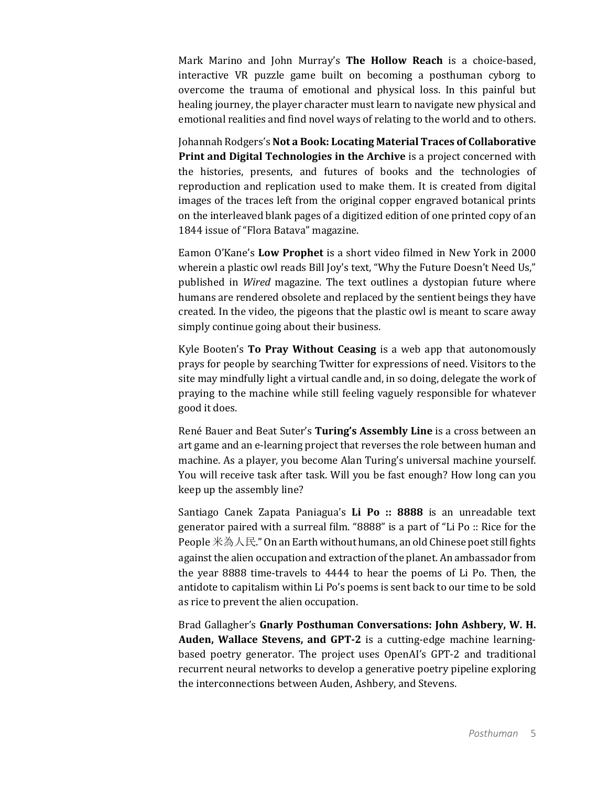Mark Marino and John Murray's The Hollow Reach is a choice-based, interactive VR puzzle game built on becoming a posthuman cyborg to overcome the trauma of emotional and physical loss. In this painful but healing journey, the player character must learn to navigate new physical and emotional realities and find novel ways of relating to the world and to others.

Johannah Rodgers's Not a Book: Locating Material Traces of Collaborative **Print and Digital Technologies in the Archive** is a project concerned with the histories, presents, and futures of books and the technologies of reproduction and replication used to make them. It is created from digital images of the traces left from the original copper engraved botanical prints on the interleaved blank pages of a digitized edition of one printed copy of an 1844 issue of "Flora Batava" magazine.

Eamon O'Kane's Low Prophet is a short video filmed in New York in 2000 wherein a plastic owl reads Bill Joy's text, "Why the Future Doesn't Need Us," published in *Wired* magazine. The text outlines a dystopian future where humans are rendered obsolete and replaced by the sentient beings they have created. In the video, the pigeons that the plastic owl is meant to scare away simply continue going about their business.

Kyle Booten's **To Pray Without Ceasing** is a web app that autonomously prays for people by searching Twitter for expressions of need. Visitors to the site may mindfully light a virtual candle and, in so doing, delegate the work of praying to the machine while still feeling vaguely responsible for whatever good it does.

René Bauer and Beat Suter's Turing's Assembly Line is a cross between an art game and an e-learning project that reverses the role between human and machine. As a player, you become Alan Turing's universal machine yourself. You will receive task after task. Will you be fast enough? How long can you keep up the assembly line?

Santiago Canek Zapata Paniagua's Li Po :: 8888 is an unreadable text generator paired with a surreal film. "8888" is a part of "Li Po :: Rice for the People 米為人民." On an Earth without humans, an old Chinese poet still fights against the alien occupation and extraction of the planet. An ambassador from the year 8888 time-travels to 4444 to hear the poems of Li Po. Then, the antidote to capitalism within Li Po's poems is sent back to our time to be sold as rice to prevent the alien occupation.

Brad Gallagher's Gnarly Posthuman Conversations: John Ashbery, W. H. **Auden, Wallace Stevens, and GPT-2** is a cutting-edge machine learningbased poetry generator. The project uses OpenAI's GPT-2 and traditional recurrent neural networks to develop a generative poetry pipeline exploring the interconnections between Auden, Ashbery, and Stevens.